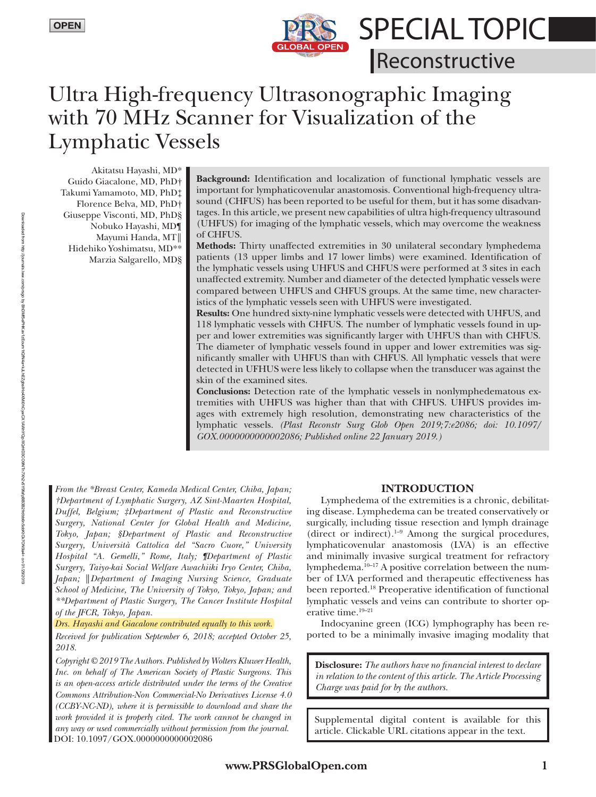

**SPECIAL TOPICI** 

Reconstructive

# Ultra High-frequency Ultrasonographic Imaging with 70 MHz Scanner for Visualization of the Lymphatic Vessels

Akitatsu Hayashi, MD\* Guido Giacalone, MD, PhD† Takumi Yamamoto, MD, PhD‡ Florence Belva, MD, PhD† Giuseppe Visconti, MD, PhD§ Nobuko Hayashi, MD¶ Mayumi Handa, MT║ Hidehiko Yoshimatsu, MD\*\* Marzia Salgarello, MD§

**Background:** Identification and localization of functional lymphatic vessels are important for lymphaticovenular anastomosis. Conventional high-frequency ultrasound (CHFUS) has been reported to be useful for them, but it has some disadvantages. In this article, we present new capabilities of ultra high-frequency ultrasound (UHFUS) for imaging of the lymphatic vessels, which may overcome the weakness of CHFUS.

**Methods:** Thirty unaffected extremities in 30 unilateral secondary lymphedema patients (13 upper limbs and 17 lower limbs) were examined. Identification of the lymphatic vessels using UHFUS and CHFUS were performed at 3 sites in each unaffected extremity. Number and diameter of the detected lymphatic vessels were compared between UHFUS and CHFUS groups. At the same time, new characteristics of the lymphatic vessels seen with UHFUS were investigated.

**Results:** One hundred sixty-nine lymphatic vessels were detected with UHFUS, and 118 lymphatic vessels with CHFUS. The number of lymphatic vessels found in upper and lower extremities was significantly larger with UHFUS than with CHFUS. The diameter of lymphatic vessels found in upper and lower extremities was significantly smaller with UHFUS than with CHFUS. All lymphatic vessels that were detected in UFHUS were less likely to collapse when the transducer was against the skin of the examined sites.

**Conclusions:** Detection rate of the lymphatic vessels in nonlymphedematous extremities with UHFUS was higher than that with CHFUS. UHFUS provides images with extremely high resolution, demonstrating new characteristics of the lymphatic vessels. *(Plast Reconstr Surg Glob Open 2019;7:e2086; doi: 10.1097/ GOX.0000000000002086; Published online 22 January 2019.)*

*From the \*Breast Center, Kameda Medical Center, Chiba, Japan; †Department of Lymphatic Surgery, AZ Sint-Maarten Hospital, Duffel, Belgium; ‡Department of Plastic and Reconstructive Surgery, National Center for Global Health and Medicine, Tokyo, Japan; §Department of Plastic and Reconstructive Surgery, Università Cattolica del "Sacro Cuore," University Hospital "A. Gemelli," Rome, Italy; ¶Department of Plastic Surgery, Taiyo-kai Social Welfare Awachiiki Iryo Center, Chiba, Japan;* ║*Department of Imaging Nursing Science, Graduate School of Medicine, The University of Tokyo, Tokyo, Japan; and \*\*Department of Plastic Surgery, The Cancer Institute Hospital of the JFCR, Tokyo, Japan.*

#### *Drs. Hayashi and Giacalone contributed equally to this work.*

*Received for publication September 6, 2018; accepted October 25, 2018.*

*Copyright © 2019 The Authors. Published by Wolters Kluwer Health, Inc. on behalf of The American Society of Plastic Surgeons. This is an open-access article distributed under the terms of the [Creative](http://creativecommons.org/licenses/by-nc-nd/4.0/)  [Commons Attribution-Non Commercial-No Derivatives License 4.0](http://creativecommons.org/licenses/by-nc-nd/4.0/)  [\(CCBY-NC-ND\)](http://creativecommons.org/licenses/by-nc-nd/4.0/), where it is permissible to download and share the work provided it is properly cited. The work cannot be changed in any way or used commercially without permission from the journal.* any way or used commercially without permission from the journal. article. Clickable URL citations appear in the text. DOI: 10.1097/GOX.0000000000002086

# **INTRODUCTION**

Lymphedema of the extremities is a chronic, debilitating disease. Lymphedema can be treated conservatively or surgically, including tissue resection and lymph drainage (direct or indirect). $1-9$  Among the surgical procedures, lymphaticovenular anastomosis (LVA) is an effective and minimally invasive surgical treatment for refractory lymphedema.10–17 A positive correlation between the number of LVA performed and therapeutic effectiveness has been reported.18 Preoperative identification of functional lymphatic vessels and veins can contribute to shorter operative time.<sup>19-21</sup>

Indocyanine green (ICG) lymphography has been reported to be a minimally invasive imaging modality that

**Disclosure:** *The authors have no financial interest to declare in relation to the content of this article. The Article Processing Charge was paid for by the authors.*

Supplemental digital content is available for this

BhDMf5ePHKav1zEoum1tQfN4a+kJLhEZgbsIHo4XMi0hCywCX1AWnYQp/IlQrHD3CO9NTn7Xh2v5Y9fafpBB3B2frdbb6n5obKtCk7ON9a4=

on 01/29/2019

Downloaded from

http://journals.lww.com/prsgo

হ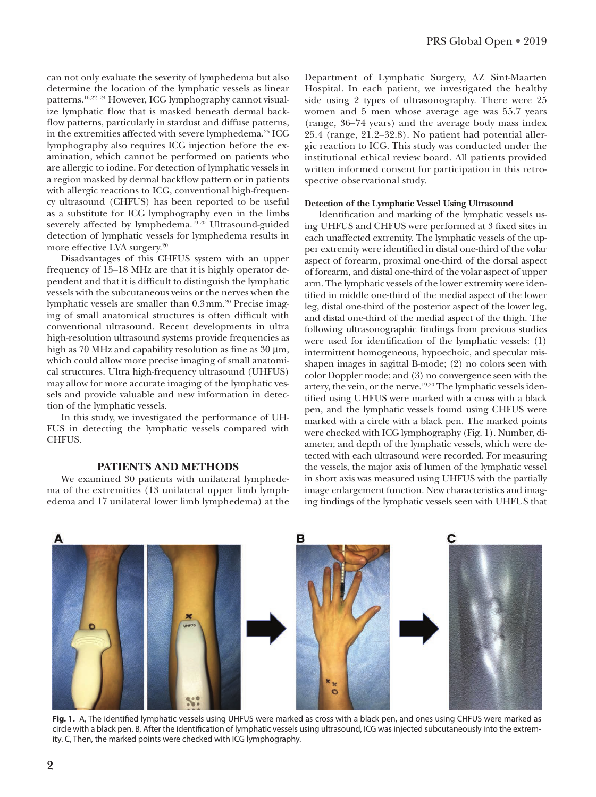can not only evaluate the severity of lymphedema but also determine the location of the lymphatic vessels as linear patterns.<sup>16,22-24</sup> However, ICG lymphography cannot visualize lymphatic flow that is masked beneath dermal backflow patterns, particularly in stardust and diffuse patterns, in the extremities affected with severe lymphedema.<sup>25</sup> ICG lymphography also requires ICG injection before the examination, which cannot be performed on patients who are allergic to iodine. For detection of lymphatic vessels in a region masked by dermal backflow pattern or in patients with allergic reactions to ICG, conventional high-frequency ultrasound (CHFUS) has been reported to be useful as a substitute for ICG lymphography even in the limbs severely affected by lymphedema.<sup>19,20</sup> Ultrasound-guided detection of lymphatic vessels for lymphedema results in more effective LVA surgery.<sup>20</sup>

Disadvantages of this CHFUS system with an upper frequency of 15–18 MHz are that it is highly operator dependent and that it is difficult to distinguish the lymphatic vessels with the subcutaneous veins or the nerves when the lymphatic vessels are smaller than 0.3mm.<sup>20</sup> Precise imaging of small anatomical structures is often difficult with conventional ultrasound. Recent developments in ultra high-resolution ultrasound systems provide frequencies as high as 70 MHz and capability resolution as fine as 30 μm, which could allow more precise imaging of small anatomical structures. Ultra high-frequency ultrasound (UHFUS) may allow for more accurate imaging of the lymphatic vessels and provide valuable and new information in detection of the lymphatic vessels.

In this study, we investigated the performance of UH-FUS in detecting the lymphatic vessels compared with **CHFUS** 

# **PATIENTS AND METHODS**

We examined 30 patients with unilateral lymphedema of the extremities (13 unilateral upper limb lymphedema and 17 unilateral lower limb lymphedema) at the Department of Lymphatic Surgery, AZ Sint-Maarten Hospital. In each patient, we investigated the healthy side using 2 types of ultrasonography. There were 25 women and 5 men whose average age was 55.7 years (range, 36–74 years) and the average body mass index 25.4 (range, 21.2–32.8). No patient had potential allergic reaction to ICG. This study was conducted under the institutional ethical review board. All patients provided written informed consent for participation in this retrospective observational study.

#### **Detection of the Lymphatic Vessel Using Ultrasound**

Identification and marking of the lymphatic vessels using UHFUS and CHFUS were performed at 3 fixed sites in each unaffected extremity. The lymphatic vessels of the upper extremity were identified in distal one-third of the volar aspect of forearm, proximal one-third of the dorsal aspect of forearm, and distal one-third of the volar aspect of upper arm. The lymphatic vessels of the lower extremity were identified in middle one-third of the medial aspect of the lower leg, distal one-third of the posterior aspect of the lower leg, and distal one-third of the medial aspect of the thigh. The following ultrasonographic findings from previous studies were used for identification of the lymphatic vessels: (1) intermittent homogeneous, hypoechoic, and specular misshapen images in sagittal B-mode; (2) no colors seen with color Doppler mode; and (3) no convergence seen with the artery, the vein, or the nerve.19,20 The lymphatic vessels identified using UHFUS were marked with a cross with a black pen, and the lymphatic vessels found using CHFUS were marked with a circle with a black pen. The marked points were checked with ICG lymphography (Fig. 1). Number, diameter, and depth of the lymphatic vessels, which were detected with each ultrasound were recorded. For measuring the vessels, the major axis of lumen of the lymphatic vessel in short axis was measured using UHFUS with the partially image enlargement function. New characteristics and imaging findings of the lymphatic vessels seen with UHFUS that



**Fig. 1.** A, The identified lymphatic vessels using UHFUS were marked as cross with a black pen, and ones using CHFUS were marked as circle with a black pen. B, After the identification of lymphatic vessels using ultrasound, ICG was injected subcutaneously into the extremity. C, Then, the marked points were checked with ICG lymphography.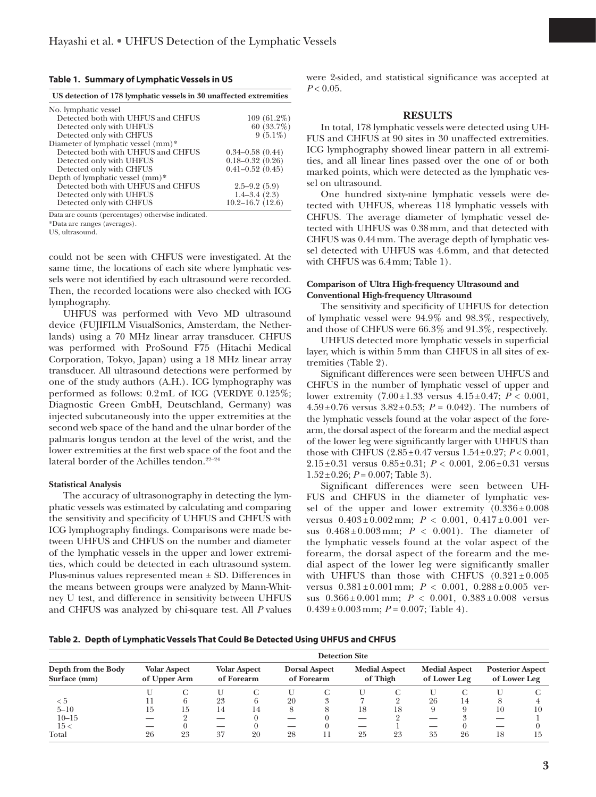|  |  |  |  | Table 1. Summary of Lymphatic Vessels in US |
|--|--|--|--|---------------------------------------------|
|--|--|--|--|---------------------------------------------|

| US detection of 178 lymphatic vessels in 30 unaffected extremities |                        |  |  |  |  |  |
|--------------------------------------------------------------------|------------------------|--|--|--|--|--|
| No. lymphatic vessel                                               |                        |  |  |  |  |  |
| Detected both with UHFUS and CHFUS                                 | $109(61.2\%)$          |  |  |  |  |  |
| Detected only with UHFUS                                           | $60(33.7\%)$           |  |  |  |  |  |
| Detected only with CHFUS                                           | $9(5.1\%)$             |  |  |  |  |  |
| Diameter of lymphatic vessel (mm)*                                 |                        |  |  |  |  |  |
| Detected both with UHFUS and CHFUS                                 | $0.34 - 0.58$ $(0.44)$ |  |  |  |  |  |
| Detected only with UHFUS                                           | $0.18 - 0.32(0.26)$    |  |  |  |  |  |
| Detected only with CHFUS                                           | $0.41 - 0.52(0.45)$    |  |  |  |  |  |
| Depth of lymphatic vessel (mm)*                                    |                        |  |  |  |  |  |
| Detected both with UHFUS and CHFUS                                 | $2.5 - 9.2(5.9)$       |  |  |  |  |  |
| Detected only with UHFUS                                           | $1.4 - 3.4(2.3)$       |  |  |  |  |  |
| Detected only with CHFUS                                           | $10.2 - 16.7(12.6)$    |  |  |  |  |  |

Data are counts (percentages) otherwise indicated.

\*Data are ranges (averages).

US, ultrasound.

could not be seen with CHFUS were investigated. At the same time, the locations of each site where lymphatic vessels were not identified by each ultrasound were recorded. Then, the recorded locations were also checked with ICG lymphography.

UHFUS was performed with Vevo MD ultrasound device (FUJIFILM VisualSonics, Amsterdam, the Netherlands) using a 70 MHz linear array transducer. CHFUS was performed with ProSound F75 (Hitachi Medical Corporation, Tokyo, Japan) using a 18 MHz linear array transducer. All ultrasound detections were performed by one of the study authors (A.H.). ICG lymphography was performed as follows: 0.2mL of ICG (VERDYE 0.125%; Diagnostic Green GmbH, Deutschland, Germany) was injected subcutaneously into the upper extremities at the second web space of the hand and the ulnar border of the palmaris longus tendon at the level of the wrist, and the lower extremities at the first web space of the foot and the lateral border of the Achilles tendon.<sup>22-24</sup>

#### **Statistical Analysis**

The accuracy of ultrasonography in detecting the lymphatic vessels was estimated by calculating and comparing the sensitivity and specificity of UHFUS and CHFUS with ICG lymphography findings. Comparisons were made between UHFUS and CHFUS on the number and diameter of the lymphatic vessels in the upper and lower extremities, which could be detected in each ultrasound system. Plus-minus values represented mean ± SD. Differences in the means between groups were analyzed by Mann-Whitney U test, and difference in sensitivity between UHFUS and CHFUS was analyzed by chi-square test. All *P* values were 2-sided, and statistical significance was accepted at  $P < 0.05$ .

## **RESULTS**

In total, 178 lymphatic vessels were detected using UH-FUS and CHFUS at 90 sites in 30 unaffected extremities. ICG lymphography showed linear pattern in all extremities, and all linear lines passed over the one of or both marked points, which were detected as the lymphatic vessel on ultrasound.

One hundred sixty-nine lymphatic vessels were detected with UHFUS, whereas 118 lymphatic vessels with CHFUS. The average diameter of lymphatic vessel detected with UHFUS was 0.38mm, and that detected with CHFUS was 0.44mm. The average depth of lymphatic vessel detected with UHFUS was 4.6mm, and that detected with CHFUS was 6.4mm; Table 1).

# **Comparison of Ultra High-frequency Ultrasound and Conventional High-frequency Ultrasound**

The sensitivity and specificity of UHFUS for detection of lymphatic vessel were 94.9% and 98.3%, respectively, and those of CHFUS were 66.3% and 91.3%, respectively.

UHFUS detected more lymphatic vessels in superficial layer, which is within 5mm than CHFUS in all sites of extremities (Table 2).

Significant differences were seen between UHFUS and CHFUS in the number of lymphatic vessel of upper and lower extremity (7.00±1.33 versus 4.15±0.47; *P* < 0.001,  $4.59\pm0.76$  versus  $3.82\pm0.53$ ;  $P = 0.042$ ). The numbers of the lymphatic vessels found at the volar aspect of the forearm, the dorsal aspect of the forearm and the medial aspect of the lower leg were significantly larger with UHFUS than those with CHFUS  $(2.85 \pm 0.47 \text{ versus } 1.54 \pm 0.27; P < 0.001,$ 2.15±0.31 versus 0.85±0.31; *P* < 0.001, 2.06±0.31 versus  $1.52\pm0.26$ ;  $P = 0.007$ ; Table 3).

Significant differences were seen between UH-FUS and CHFUS in the diameter of lymphatic vessel of the upper and lower extremity  $(0.336 \pm 0.008)$ versus 0.403 ± 0.002 mm; *P* < 0.001, 0.417 ± 0.001 versus  $0.468 \pm 0.003$  mm;  $P < 0.001$ ). The diameter of the lymphatic vessels found at the volar aspect of the forearm, the dorsal aspect of the forearm and the medial aspect of the lower leg were significantly smaller with UHFUS than those with CHFUS  $(0.321 \pm 0.005$ versus  $0.381 \pm 0.001$  mm;  $P < 0.001$ ,  $0.288 \pm 0.005$  versus  $0.366 \pm 0.001$  mm;  $P < 0.001$ ,  $0.383 \pm 0.008$  versus  $0.439 \pm 0.003$  mm;  $P = 0.007$ ; Table 4).

**Table 2. Depth of Lymphatic Vessels That Could Be Detected Using UHFUS and CHFUS**

| Depth from the Body<br>Surface (mm) | <b>Detection Site</b>               |    |                                   |    |                                    |  |                                  |    |                                      |    |                                         |     |
|-------------------------------------|-------------------------------------|----|-----------------------------------|----|------------------------------------|--|----------------------------------|----|--------------------------------------|----|-----------------------------------------|-----|
|                                     | <b>Volar Aspect</b><br>of Upper Arm |    | <b>Volar Aspect</b><br>of Forearm |    | <b>Dorsal Aspect</b><br>of Forearm |  | <b>Medial Aspect</b><br>of Thigh |    | <b>Medial Aspect</b><br>of Lower Leg |    | <b>Posterior Aspect</b><br>of Lower Leg |     |
|                                     |                                     |    |                                   |    |                                    |  |                                  |    |                                      |    |                                         |     |
| < 5                                 |                                     | h  | 23                                |    | 20                                 |  |                                  |    | 26                                   | 14 |                                         |     |
| $5 - 10$                            | 15                                  | 15 | 14                                |    |                                    |  | 18                               | 18 |                                      |    | 10                                      | 10  |
| $10 - 15$                           |                                     |    |                                   |    |                                    |  |                                  |    |                                      |    |                                         |     |
| 15<                                 |                                     |    |                                   |    |                                    |  |                                  |    |                                      |    |                                         |     |
| Total                               | 26                                  | 23 | 37                                | 20 | 28                                 |  | 25                               | 23 | 35                                   | 26 | 18                                      | -15 |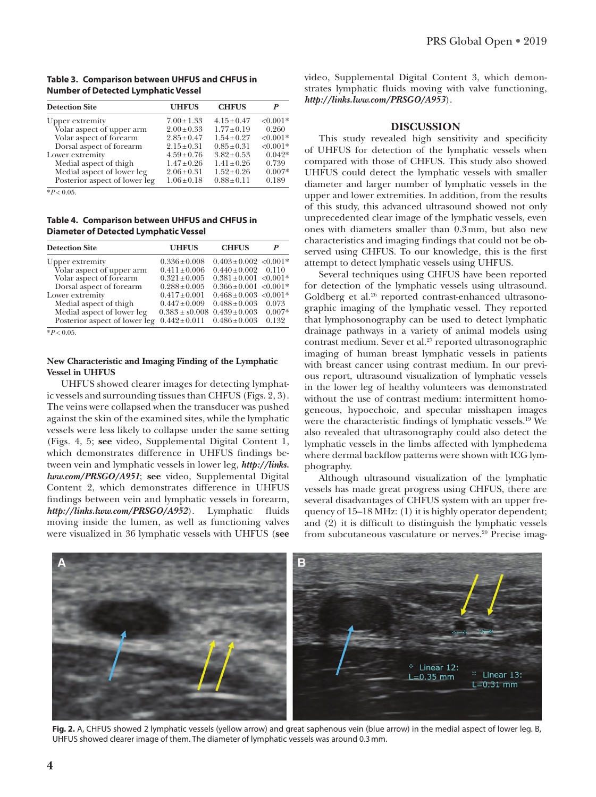# **Table 3. Comparison between UHFUS and CHFUS in Number of Detected Lymphatic Vessel**

| <b>Detection Site</b>         | <b>UHFUS</b>    | <b>CHFUS</b>    | P          |
|-------------------------------|-----------------|-----------------|------------|
| Upper extremity               | $7.00 \pm 1.33$ | $4.15 + 0.47$   | $< 0.001*$ |
| Volar aspect of upper arm     | $2.00 \pm 0.33$ | $1.77 + 0.19$   | 0.260      |
| Volar aspect of forearm       | $2.85 \pm 0.47$ | $1.54 \pm 0.27$ | $< 0.001*$ |
| Dorsal aspect of forearm      | $2.15 \pm 0.31$ | $0.85 \pm 0.31$ | $< 0.001*$ |
| Lower extremity               | $4.59 + 0.76$   | $3.82 \pm 0.53$ | $0.042*$   |
| Medial aspect of thigh        | $1.47 \pm 0.26$ | $1.41 \pm 0.26$ | 0.739      |
| Medial aspect of lower leg    | $2.06 \pm 0.31$ | $1.52 \pm 0.26$ | $0.007*$   |
| Posterior aspect of lower leg | $1.06 \pm 0.18$ | $0.88 \pm 0.11$ | 0.189      |

 $*P < 0.05$ 

**Table 4. Comparison between UHFUS and CHFUS in Diameter of Detected Lymphatic Vessel**

| <b>Detection Site</b>         | <b>UHFUS</b>       | <b>CHFUS</b>                           | P          |
|-------------------------------|--------------------|----------------------------------------|------------|
| Upper extremity               | $0.336 \pm 0.008$  | $0.403 \pm 0.002$ < 0.001 <sup>*</sup> |            |
| Volar aspect of upper arm     | $0.411 \pm 0.006$  | $0.440 \pm 0.002$                      | 0.110      |
| Volar aspect of forearm       | $0.321 \pm 0.005$  | $0.381 \pm 0.001$ < 0.001*             |            |
| Dorsal aspect of forearm      | $0.288 \pm 0.005$  | $0.366 \pm 0.001$ < 0.001 <sup>*</sup> |            |
| Lower extremity               | $0.417 \pm 0.001$  | $0.468 \pm 0.003$                      | $< 0.001*$ |
| Medial aspect of thigh        | $0.447 \pm 0.009$  | $0.488 \pm 0.003$                      | 0.073      |
| Medial aspect of lower leg    | $0.383 \pm s0.008$ | $0.439 \pm 0.003$                      | $0.007*$   |
| Posterior aspect of lower leg | $0.442 \pm 0.011$  | $0.486 \pm 0.003$                      | 0.132      |

#### $*P < 0.05$ .

# **New Characteristic and Imaging Finding of the Lymphatic Vessel in UHFUS**

UHFUS showed clearer images for detecting lymphatic vessels and surrounding tissues than CHFUS (Figs. 2, 3). The veins were collapsed when the transducer was pushed against the skin of the examined sites, while the lymphatic vessels were less likely to collapse under the same setting (Figs. 4, 5; **see** video, Supplemental Digital Content 1, which demonstrates difference in UHFUS findings between vein and lymphatic vessels in lower leg, *[http://links.](http://links.lww.com/PRSGO/A951) [lww.com/PRSGO/A951](http://links.lww.com/PRSGO/A951)*; **see** video, Supplemental Digital Content 2, which demonstrates difference in UHFUS findings between vein and lymphatic vessels in forearm, *<http://links.lww.com/PRSGO/A952>*). Lymphatic fluids moving inside the lumen, as well as functioning valves were visualized in 36 lymphatic vessels with UHFUS (**see** video, Supplemental Digital Content 3, which demonstrates lymphatic fluids moving with valve functioning, *<http://links.lww.com/PRSGO/A953>*).

#### **DISCUSSION**

This study revealed high sensitivity and specificity of UHFUS for detection of the lymphatic vessels when compared with those of CHFUS. This study also showed UHFUS could detect the lymphatic vessels with smaller diameter and larger number of lymphatic vessels in the upper and lower extremities. In addition, from the results of this study, this advanced ultrasound showed not only unprecedented clear image of the lymphatic vessels, even ones with diameters smaller than 0.3mm, but also new characteristics and imaging findings that could not be observed using CHFUS. To our knowledge, this is the first attempt to detect lymphatic vessels using UHFUS.

Several techniques using CHFUS have been reported for detection of the lymphatic vessels using ultrasound. Goldberg et al.<sup>26</sup> reported contrast-enhanced ultrasonographic imaging of the lymphatic vessel. They reported that lymphosonography can be used to detect lymphatic drainage pathways in a variety of animal models using contrast medium. Sever et al.<sup>27</sup> reported ultrasonographic imaging of human breast lymphatic vessels in patients with breast cancer using contrast medium. In our previous report, ultrasound visualization of lymphatic vessels in the lower leg of healthy volunteers was demonstrated without the use of contrast medium: intermittent homogeneous, hypoechoic, and specular misshapen images were the characteristic findings of lymphatic vessels.19 We also revealed that ultrasonography could also detect the lymphatic vessels in the limbs affected with lymphedema where dermal backflow patterns were shown with ICG lymphography.

Although ultrasound visualization of the lymphatic vessels has made great progress using CHFUS, there are several disadvantages of CHFUS system with an upper frequency of 15–18 MHz: (1) it is highly operator dependent; and (2) it is difficult to distinguish the lymphatic vessels from subcutaneous vasculature or nerves.<sup>20</sup> Precise imag-



**Fig. 2.** A, CHFUS showed 2 lymphatic vessels (yellow arrow) and great saphenous vein (blue arrow) in the medial aspect of lower leg. B, UHFUS showed clearer image of them. The diameter of lymphatic vessels was around 0.3mm.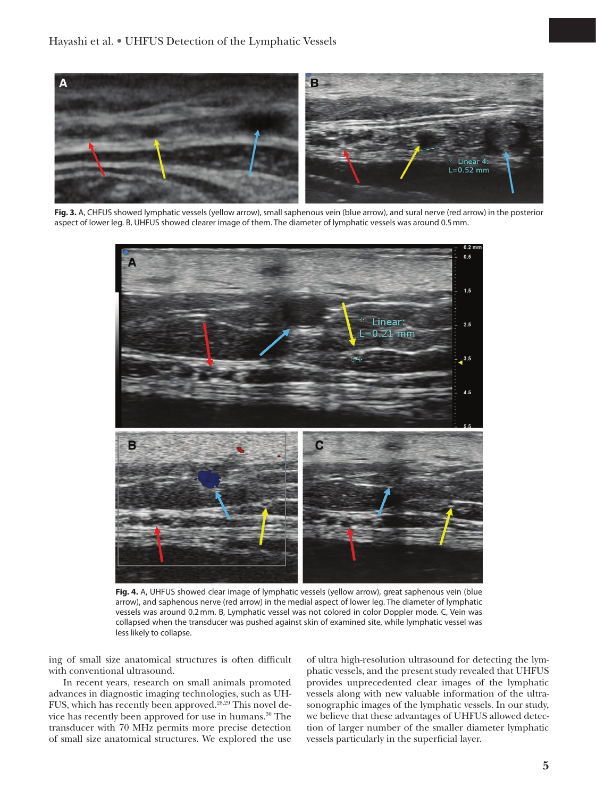

**Fig. 3.** A, CHFUS showed lymphatic vessels (yellow arrow), small saphenous vein (blue arrow), and sural nerve (red arrow) in the posterior aspect of lower leg. B, UHFUS showed clearer image of them. The diameter of lymphatic vessels was around 0.5mm.



**Fig. 4.** A, UHFUS showed clear image of lymphatic vessels (yellow arrow), great saphenous vein (blue arrow), and saphenous nerve (red arrow) in the medial aspect of lower leg. The diameter of lymphatic vessels was around 0.2mm. B, Lymphatic vessel was not colored in color Doppler mode. C, Vein was collapsed when the transducer was pushed against skin of examined site, while lymphatic vessel was less likely to collapse.

ing of small size anatomical structures is often difficult with conventional ultrasound.

In recent years, research on small animals promoted advances in diagnostic imaging technologies, such as UH-FUS, which has recently been approved.28,29 This novel device has recently been approved for use in humans.30 The transducer with 70 MHz permits more precise detection of small size anatomical structures. We explored the use

of ultra high-resolution ultrasound for detecting the lymphatic vessels, and the present study revealed that UHFUS provides unprecedented clear images of the lymphatic vessels along with new valuable information of the ultrasonographic images of the lymphatic vessels. In our study, we believe that these advantages of UHFUS allowed detection of larger number of the smaller diameter lymphatic vessels particularly in the superficial layer.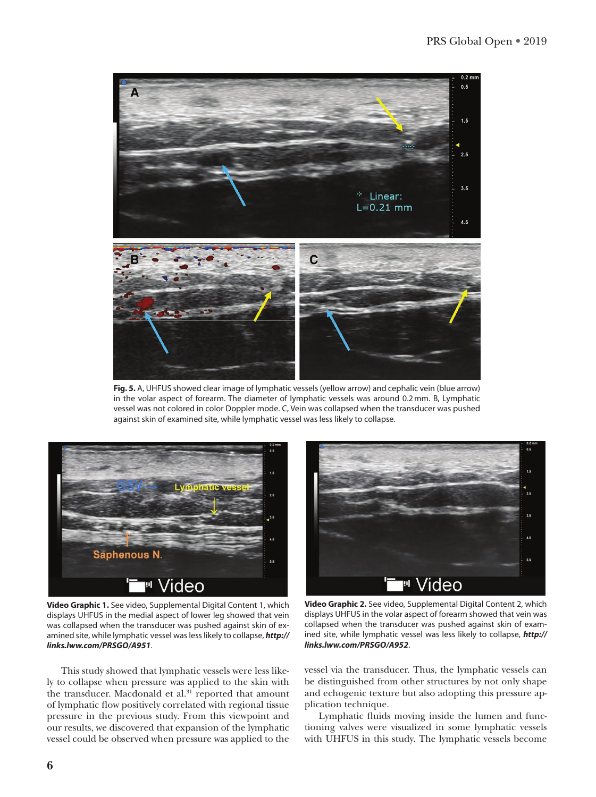

**Fig. 5.** A, UHFUS showed clear image of lymphatic vessels (yellow arrow) and cephalic vein (blue arrow) in the volar aspect of forearm. The diameter of lymphatic vessels was around 0.2mm. B, Lymphatic vessel was not colored in color Doppler mode. C, Vein was collapsed when the transducer was pushed against skin of examined site, while lymphatic vessel was less likely to collapse.



**Video Graphic 1.** See video, Supplemental Digital Content 1, which displays UHFUS in the medial aspect of lower leg showed that vein was collapsed when the transducer was pushed against skin of examined site, while lymphatic vessel was less likely to collapse, *[http://](http://links.lww.com/PRSGO/A951) [links.lww.com/PRSGO/A951](http://links.lww.com/PRSGO/A951)*.

This study showed that lymphatic vessels were less likely to collapse when pressure was applied to the skin with the transducer. Macdonald et al.<sup>31</sup> reported that amount of lymphatic flow positively correlated with regional tissue pressure in the previous study. From this viewpoint and our results, we discovered that expansion of the lymphatic vessel could be observed when pressure was applied to the



**Video Graphic 2.** See video, Supplemental Digital Content 2, which displays UHFUS in the volar aspect of forearm showed that vein was collapsed when the transducer was pushed against skin of examined site, while lymphatic vessel was less likely to collapse, *[http://](http://links.lww.com/PRSGO/A952) [links.lww.com/PRSGO/A952](http://links.lww.com/PRSGO/A952)*.

vessel via the transducer. Thus, the lymphatic vessels can be distinguished from other structures by not only shape and echogenic texture but also adopting this pressure application technique.

Lymphatic fluids moving inside the lumen and functioning valves were visualized in some lymphatic vessels with UHFUS in this study. The lymphatic vessels become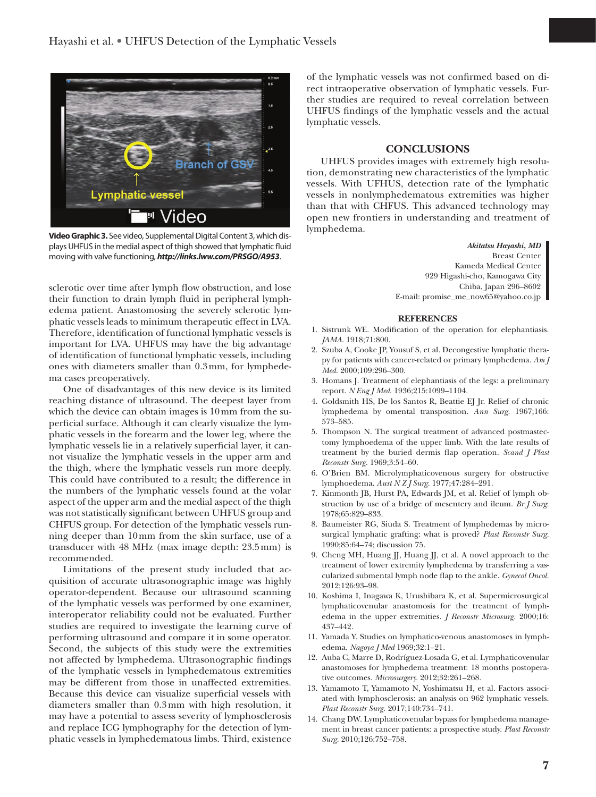

**Video Graphic 3.** See video, Supplemental Digital Content 3, which displays UHFUS in the medial aspect of thigh showed that lymphatic fluid moving with valve functioning, *<http://links.lww.com/PRSGO/A953>*.

sclerotic over time after lymph flow obstruction, and lose their function to drain lymph fluid in peripheral lymphedema patient. Anastomosing the severely sclerotic lymphatic vessels leads to minimum therapeutic effect in LVA. Therefore, identification of functional lymphatic vessels is important for LVA. UHFUS may have the big advantage of identification of functional lymphatic vessels, including ones with diameters smaller than 0.3mm, for lymphedema cases preoperatively.

One of disadvantages of this new device is its limited reaching distance of ultrasound. The deepest layer from which the device can obtain images is 10mm from the superficial surface. Although it can clearly visualize the lymphatic vessels in the forearm and the lower leg, where the lymphatic vessels lie in a relatively superficial layer, it cannot visualize the lymphatic vessels in the upper arm and the thigh, where the lymphatic vessels run more deeply. This could have contributed to a result; the difference in the numbers of the lymphatic vessels found at the volar aspect of the upper arm and the medial aspect of the thigh was not statistically significant between UHFUS group and CHFUS group. For detection of the lymphatic vessels running deeper than 10mm from the skin surface, use of a transducer with 48 MHz (max image depth: 23.5mm) is recommended.

Limitations of the present study included that acquisition of accurate ultrasonographic image was highly operator-dependent. Because our ultrasound scanning of the lymphatic vessels was performed by one examiner, interoperator reliability could not be evaluated. Further studies are required to investigate the learning curve of performing ultrasound and compare it in some operator. Second, the subjects of this study were the extremities not affected by lymphedema. Ultrasonographic findings of the lymphatic vessels in lymphedematous extremities may be different from those in unaffected extremities. Because this device can visualize superficial vessels with diameters smaller than 0.3mm with high resolution, it may have a potential to assess severity of lymphosclerosis and replace ICG lymphography for the detection of lymphatic vessels in lymphedematous limbs. Third, existence

of the lymphatic vessels was not confirmed based on direct intraoperative observation of lymphatic vessels. Further studies are required to reveal correlation between UHFUS findings of the lymphatic vessels and the actual lymphatic vessels.

# **CONCLUSIONS**

UHFUS provides images with extremely high resolution, demonstrating new characteristics of the lymphatic vessels. With UFHUS, detection rate of the lymphatic vessels in nonlymphedematous extremities was higher than that with CHFUS. This advanced technology may open new frontiers in understanding and treatment of lymphedema.

*Akitatsu Hayashi, MD*

Breast Center Kameda Medical Center 929 Higashi-cho, Kamogawa City Chiba, Japan 296–8602 E-mail: [promise\\_me\\_now65@yahoo.co.jp](mailto:promise_me_now65@yahoo.co.jp)

#### **REFERENCES**

- 1. Sistrunk WE. Modification of the operation for elephantiasis. *JAMA*. 1918;71:800.
- 2. Szuba A, Cooke JP, Yousuf S, et al. Decongestive lymphatic therapy for patients with cancer-related or primary lymphedema. *Am J Med.* 2000;109:296–300.
- 3. Homans J. Treatment of elephantiasis of the legs: a preliminary report. *N Eng J Med*. 1936;215:1099–1104.
- 4. Goldsmith HS, De los Santos R, Beattie EJ Jr. Relief of chronic lymphedema by omental transposition. *Ann Surg.* 1967;166: 573–585.
- 5. Thompson N. The surgical treatment of advanced postmastectomy lymphoedema of the upper limb. With the late results of treatment by the buried dermis flap operation. *Scand J Plast Reconstr Surg.* 1969;3:54–60.
- 6. O'Brien BM. Microlymphaticovenous surgery for obstructive lymphoedema. *Aust N Z J Surg.* 1977;47:284–291.
- 7. Kinmonth JB, Hurst PA, Edwards JM, et al. Relief of lymph obstruction by use of a bridge of mesentery and ileum. *Br J Surg.* 1978;65:829–833.
- 8. Baumeister RG, Siuda S. Treatment of lymphedemas by microsurgical lymphatic grafting: what is proved? *Plast Reconstr Surg.* 1990;85:64–74; discussion 75.
- 9. Cheng MH, Huang JJ, Huang JJ, et al. A novel approach to the treatment of lower extremity lymphedema by transferring a vascularized submental lymph node flap to the ankle. *Gynecol Oncol.* 2012;126:93–98.
- 10. Koshima I, Inagawa K, Urushibara K, et al. Supermicrosurgical lymphaticovenular anastomosis for the treatment of lymphedema in the upper extremities. *J Reconstr Microsurg.* 2000;16: 437–442.
- 11. Yamada Y. Studies on lymphatico-venous anastomoses in lymphedema. *Nagoya J Med* 1969;32:1–21.
- 12. Auba C, Marre D, Rodríguez-Losada G, et al. Lymphaticovenular anastomoses for lymphedema treatment: 18 months postoperative outcomes. *Microsurgery.* 2012;32:261–268.
- 13. Yamamoto T, Yamamoto N, Yoshimatsu H, et al. Factors associated with lymphosclerosis: an analysis on 962 lymphatic vessels. *Plast Reconstr Surg.* 2017;140:734–741.
- 14. Chang DW. Lymphaticovenular bypass for lymphedema management in breast cancer patients: a prospective study. *Plast Reconstr Surg.* 2010;126:752–758.